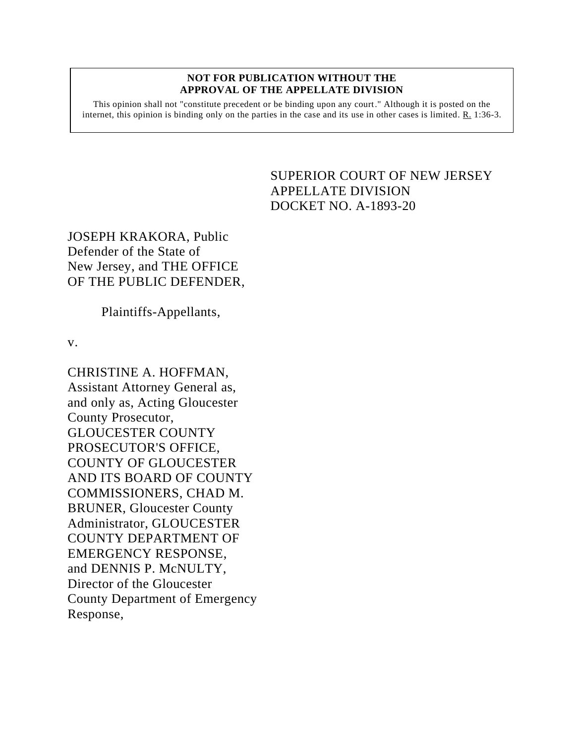#### **NOT FOR PUBLICATION WITHOUT THE APPROVAL OF THE APPELLATE DIVISION**

This opinion shall not "constitute precedent or be binding upon any court." Although it is posted on the internet, this opinion is binding only on the parties in the case and its use in other cases is limited. R. 1:36-3.

# SUPERIOR COURT OF NEW JERSEY APPELLATE DIVISION DOCKET NO. A-1893-20

JOSEPH KRAKORA, Public Defender of the State of New Jersey, and THE OFFICE OF THE PUBLIC DEFENDER,

Plaintiffs-Appellants,

v.

CHRISTINE A. HOFFMAN, Assistant Attorney General as, and only as, Acting Gloucester County Prosecutor, GLOUCESTER COUNTY PROSECUTOR'S OFFICE, COUNTY OF GLOUCESTER AND ITS BOARD OF COUNTY COMMISSIONERS, CHAD M. BRUNER, Gloucester County Administrator, GLOUCESTER COUNTY DEPARTMENT OF EMERGENCY RESPONSE, and DENNIS P. McNULTY, Director of the Gloucester County Department of Emergency Response,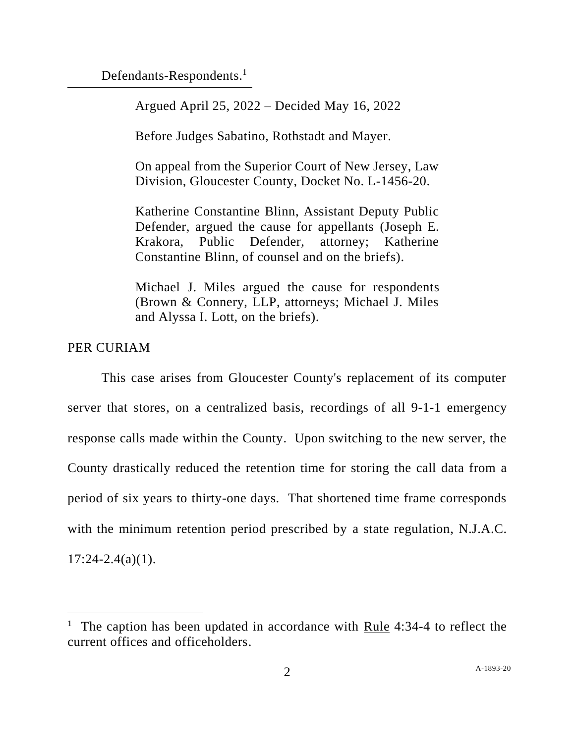Defendants-Respondents.<sup>1</sup>

Argued April 25, 2022 – Decided May 16, 2022

Before Judges Sabatino, Rothstadt and Mayer.

On appeal from the Superior Court of New Jersey, Law Division, Gloucester County, Docket No. L-1456-20.

Katherine Constantine Blinn, Assistant Deputy Public Defender, argued the cause for appellants (Joseph E. Krakora, Public Defender, attorney; Katherine Constantine Blinn, of counsel and on the briefs).

Michael J. Miles argued the cause for respondents (Brown & Connery, LLP, attorneys; Michael J. Miles and Alyssa I. Lott, on the briefs).

# PER CURIAM

This case arises from Gloucester County's replacement of its computer server that stores, on a centralized basis, recordings of all 9-1-1 emergency response calls made within the County. Upon switching to the new server, the County drastically reduced the retention time for storing the call data from a period of six years to thirty-one days. That shortened time frame corresponds with the minimum retention period prescribed by a state regulation, N.J.A.C.  $17:24 - 2.4(a)(1)$ .

<sup>&</sup>lt;sup>1</sup> The caption has been updated in accordance with Rule 4:34-4 to reflect the current offices and officeholders.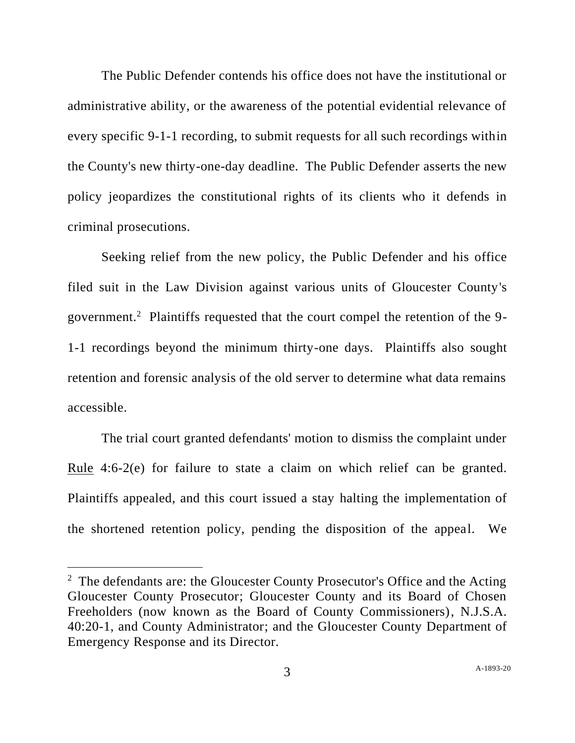The Public Defender contends his office does not have the institutional or administrative ability, or the awareness of the potential evidential relevance of every specific 9-1-1 recording, to submit requests for all such recordings within the County's new thirty-one-day deadline. The Public Defender asserts the new policy jeopardizes the constitutional rights of its clients who it defends in criminal prosecutions.

Seeking relief from the new policy, the Public Defender and his office filed suit in the Law Division against various units of Gloucester County's government.<sup>2</sup> Plaintiffs requested that the court compel the retention of the 9-1-1 recordings beyond the minimum thirty-one days. Plaintiffs also sought retention and forensic analysis of the old server to determine what data remains accessible.

The trial court granted defendants' motion to dismiss the complaint under <u>Rule</u> 4:6-2(e) for failure to state a claim on which relief can be granted. Plaintiffs appealed, and this court issued a stay halting the implementation of the shortened retention policy, pending the disposition of the appeal. We

 $2$  The defendants are: the Gloucester County Prosecutor's Office and the Acting Gloucester County Prosecutor; Gloucester County and its Board of Chosen Freeholders (now known as the Board of County Commissioners), N.J.S.A. 40:20-1, and County Administrator; and the Gloucester County Department of Emergency Response and its Director.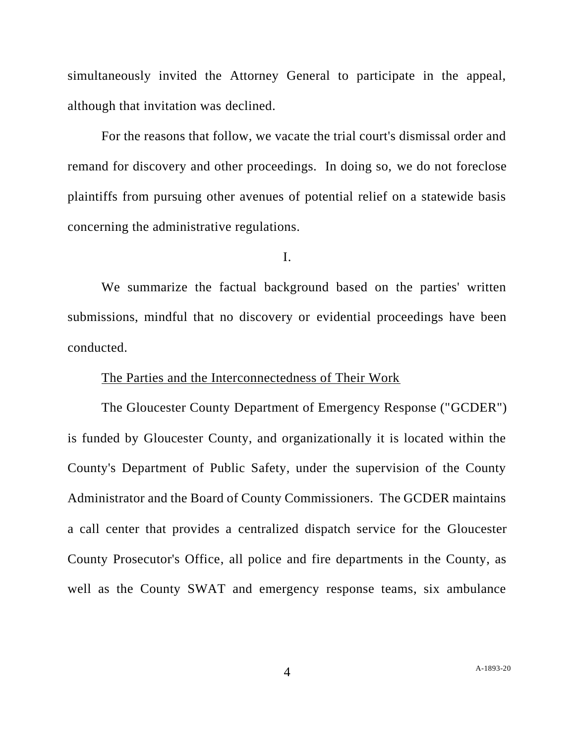simultaneously invited the Attorney General to participate in the appeal, although that invitation was declined.

For the reasons that follow, we vacate the trial court's dismissal order and remand for discovery and other proceedings. In doing so, we do not foreclose plaintiffs from pursuing other avenues of potential relief on a statewide basis concerning the administrative regulations.

I.

We summarize the factual background based on the parties' written submissions, mindful that no discovery or evidential proceedings have been conducted.

### The Parties and the Interconnectedness of Their Work

The Gloucester County Department of Emergency Response ("GCDER") is funded by Gloucester County, and organizationally it is located within the County's Department of Public Safety, under the supervision of the County Administrator and the Board of County Commissioners. The GCDER maintains a call center that provides a centralized dispatch service for the Gloucester County Prosecutor's Office, all police and fire departments in the County, as well as the County SWAT and emergency response teams, six ambulance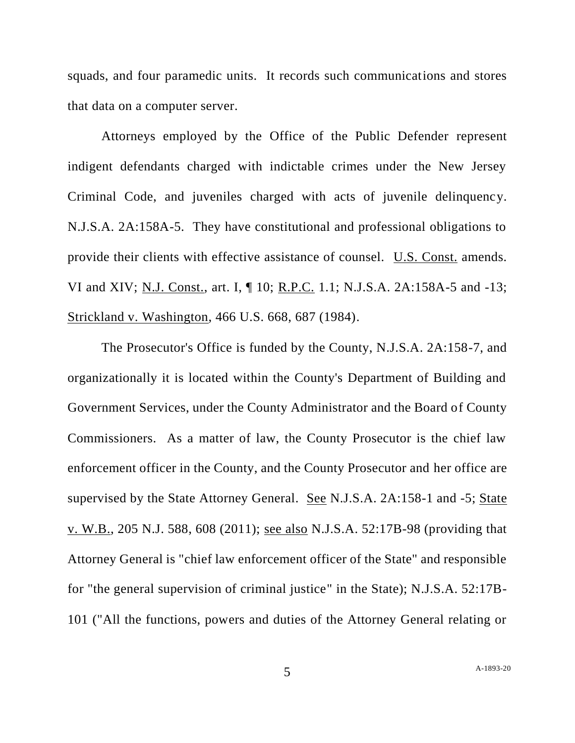squads, and four paramedic units. It records such communications and stores that data on a computer server.

Attorneys employed by the Office of the Public Defender represent indigent defendants charged with indictable crimes under the New Jersey Criminal Code, and juveniles charged with acts of juvenile delinquency. N.J.S.A. 2A:158A-5. They have constitutional and professional obligations to provide their clients with effective assistance of counsel. U.S. Const. amends. VI and XIV; N.J. Const., art. I, ¶ 10; R.P.C. 1.1; N.J.S.A. 2A:158A-5 and -13; Strickland v. Washington, 466 U.S. 668, 687 (1984).

The Prosecutor's Office is funded by the County, N.J.S.A. 2A:158-7, and organizationally it is located within the County's Department of Building and Government Services, under the County Administrator and the Board of County Commissioners. As a matter of law, the County Prosecutor is the chief law enforcement officer in the County, and the County Prosecutor and her office are supervised by the State Attorney General. See N.J.S.A. 2A:158-1 and -5; State v. W.B., 205 N.J. 588, 608 (2011); see also N.J.S.A. 52:17B-98 (providing that Attorney General is "chief law enforcement officer of the State" and responsible for "the general supervision of criminal justice" in the State); N.J.S.A. 52:17B-101 ("All the functions, powers and duties of the Attorney General relating or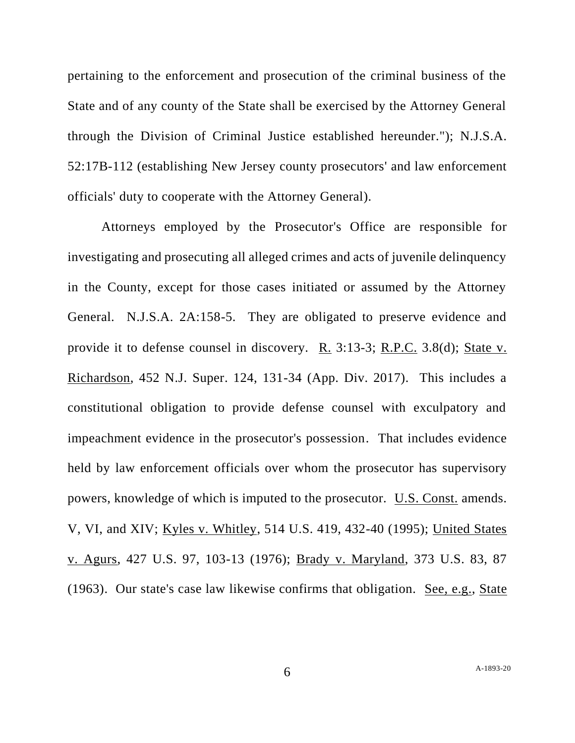pertaining to the enforcement and prosecution of the criminal business of the State and of any county of the State shall be exercised by the Attorney General through the Division of Criminal Justice established hereunder."); N.J.S.A. 52:17B-112 (establishing New Jersey county prosecutors' and law enforcement officials' duty to cooperate with the Attorney General).

Attorneys employed by the Prosecutor's Office are responsible for investigating and prosecuting all alleged crimes and acts of juvenile delinquency in the County, except for those cases initiated or assumed by the Attorney General. N.J.S.A. 2A:158-5. They are obligated to preserve evidence and provide it to defense counsel in discovery. R. 3:13-3; R.P.C. 3.8(d); State v. Richardson, 452 N.J. Super. 124, 131-34 (App. Div. 2017). This includes a constitutional obligation to provide defense counsel with exculpatory and impeachment evidence in the prosecutor's possession. That includes evidence held by law enforcement officials over whom the prosecutor has supervisory powers, knowledge of which is imputed to the prosecutor. U.S. Const. amends. V, VI, and XIV; Kyles v. Whitley, 514 U.S. 419, 432-40 (1995); United States v. Agurs, 427 U.S. 97, 103-13 (1976); Brady v. Maryland, 373 U.S. 83, 87 (1963). Our state's case law likewise confirms that obligation. See, e.g., State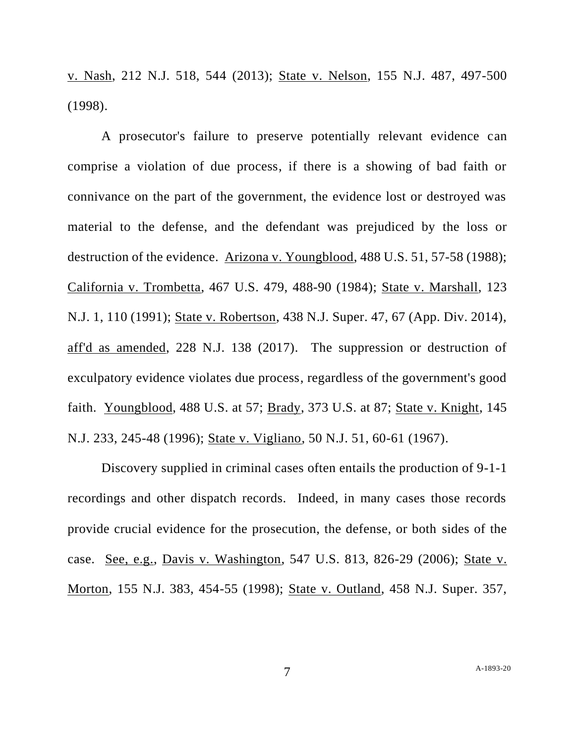v. Nash, 212 N.J. 518, 544 (2013); State v. Nelson, 155 N.J. 487, 497-500 (1998).

A prosecutor's failure to preserve potentially relevant evidence can comprise a violation of due process, if there is a showing of bad faith or connivance on the part of the government, the evidence lost or destroyed was material to the defense, and the defendant was prejudiced by the loss or destruction of the evidence. Arizona v. Youngblood, 488 U.S. 51, 57-58 (1988); California v. Trombetta, 467 U.S. 479, 488-90 (1984); State v. Marshall, 123 N.J. 1, 110 (1991); State v. Robertson, 438 N.J. Super. 47, 67 (App. Div. 2014), aff'd as amended, 228 N.J. 138 (2017). The suppression or destruction of exculpatory evidence violates due process, regardless of the government's good faith. Youngblood, 488 U.S. at 57; Brady, 373 U.S. at 87; State v. Knight, 145 N.J. 233, 245-48 (1996); State v. Vigliano, 50 N.J. 51, 60-61 (1967).

Discovery supplied in criminal cases often entails the production of 9-1-1 recordings and other dispatch records. Indeed, in many cases those records provide crucial evidence for the prosecution, the defense, or both sides of the case. See, e.g., Davis v. Washington, 547 U.S. 813, 826-29 (2006); State v. Morton, 155 N.J. 383, 454-55 (1998); State v. Outland, 458 N.J. Super. 357,

7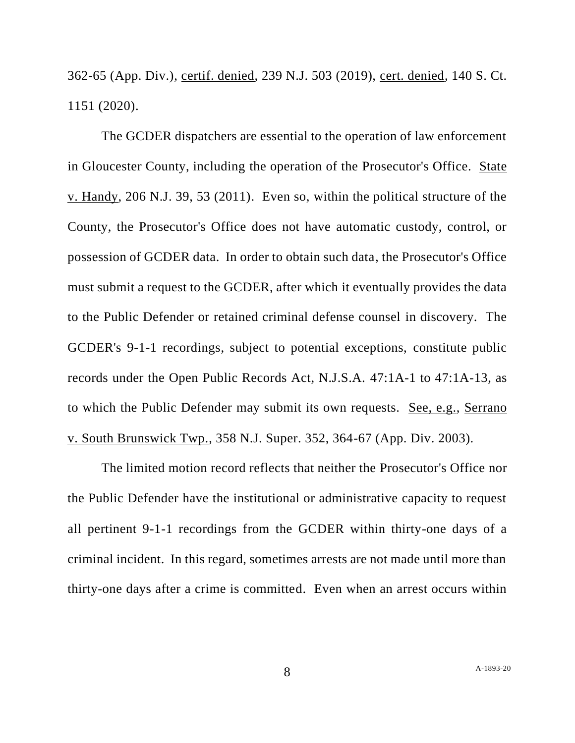362-65 (App. Div.), certif. denied, 239 N.J. 503 (2019), cert. denied, 140 S. Ct. 1151 (2020).

The GCDER dispatchers are essential to the operation of law enforcement in Gloucester County, including the operation of the Prosecutor's Office. State v. Handy, 206 N.J. 39, 53 (2011). Even so, within the political structure of the County, the Prosecutor's Office does not have automatic custody, control, or possession of GCDER data. In order to obtain such data, the Prosecutor's Office must submit a request to the GCDER, after which it eventually provides the data to the Public Defender or retained criminal defense counsel in discovery. The GCDER's 9-1-1 recordings, subject to potential exceptions, constitute public records under the Open Public Records Act, N.J.S.A. 47:1A-1 to 47:1A-13, as to which the Public Defender may submit its own requests. See, e.g., Serrano v. South Brunswick Twp., 358 N.J. Super. 352, 364-67 (App. Div. 2003).

The limited motion record reflects that neither the Prosecutor's Office nor the Public Defender have the institutional or administrative capacity to request all pertinent 9-1-1 recordings from the GCDER within thirty-one days of a criminal incident. In this regard, sometimes arrests are not made until more than thirty-one days after a crime is committed. Even when an arrest occurs within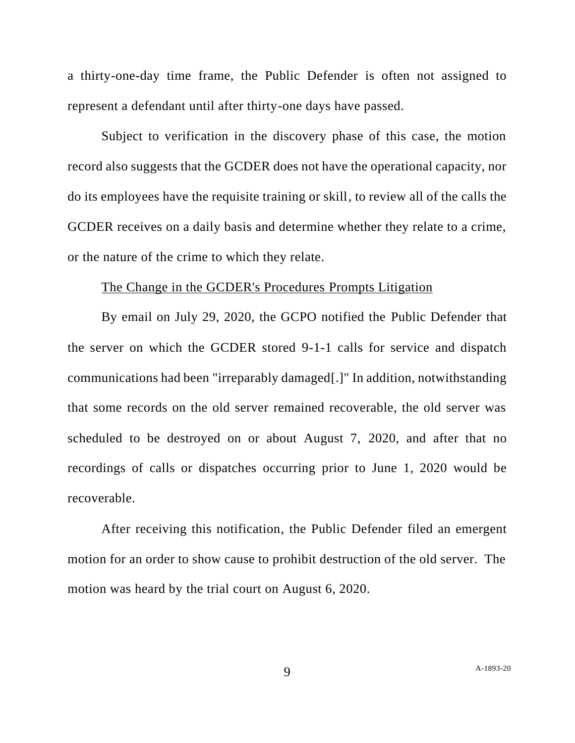a thirty-one-day time frame, the Public Defender is often not assigned to represent a defendant until after thirty-one days have passed.

Subject to verification in the discovery phase of this case, the motion record also suggests that the GCDER does not have the operational capacity, nor do its employees have the requisite training or skill, to review all of the calls the GCDER receives on a daily basis and determine whether they relate to a crime, or the nature of the crime to which they relate.

## The Change in the GCDER's Procedures Prompts Litigation

By email on July 29, 2020, the GCPO notified the Public Defender that the server on which the GCDER stored 9-1-1 calls for service and dispatch communications had been "irreparably damaged[.]" In addition, notwithstanding that some records on the old server remained recoverable, the old server was scheduled to be destroyed on or about August 7, 2020, and after that no recordings of calls or dispatches occurring prior to June 1, 2020 would be recoverable.

After receiving this notification, the Public Defender filed an emergent motion for an order to show cause to prohibit destruction of the old server. The motion was heard by the trial court on August 6, 2020.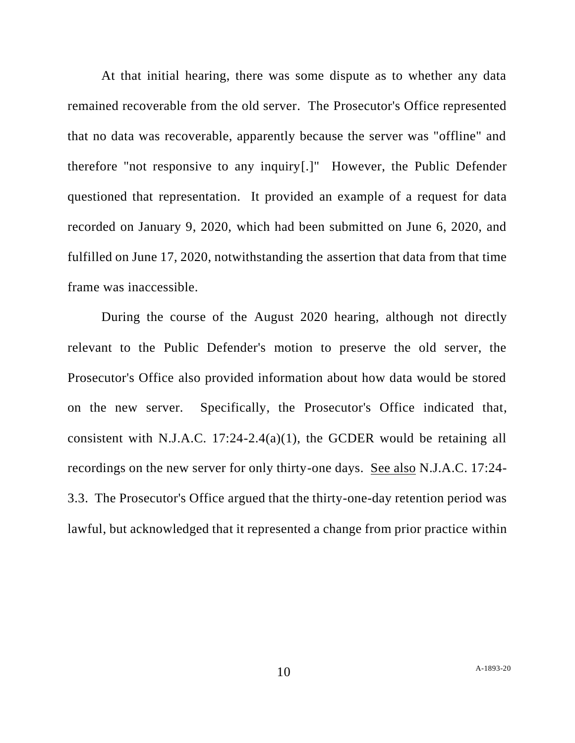At that initial hearing, there was some dispute as to whether any data remained recoverable from the old server. The Prosecutor's Office represented that no data was recoverable, apparently because the server was "offline" and therefore "not responsive to any inquiry[.]" However, the Public Defender questioned that representation. It provided an example of a request for data recorded on January 9, 2020, which had been submitted on June 6, 2020, and fulfilled on June 17, 2020, notwithstanding the assertion that data from that time frame was inaccessible.

During the course of the August 2020 hearing, although not directly relevant to the Public Defender's motion to preserve the old server, the Prosecutor's Office also provided information about how data would be stored on the new server. Specifically, the Prosecutor's Office indicated that, consistent with N.J.A.C. 17:24-2.4(a)(1), the GCDER would be retaining all recordings on the new server for only thirty-one days. See also N.J.A.C. 17:24- 3.3. The Prosecutor's Office argued that the thirty-one-day retention period was lawful, but acknowledged that it represented a change from prior practice within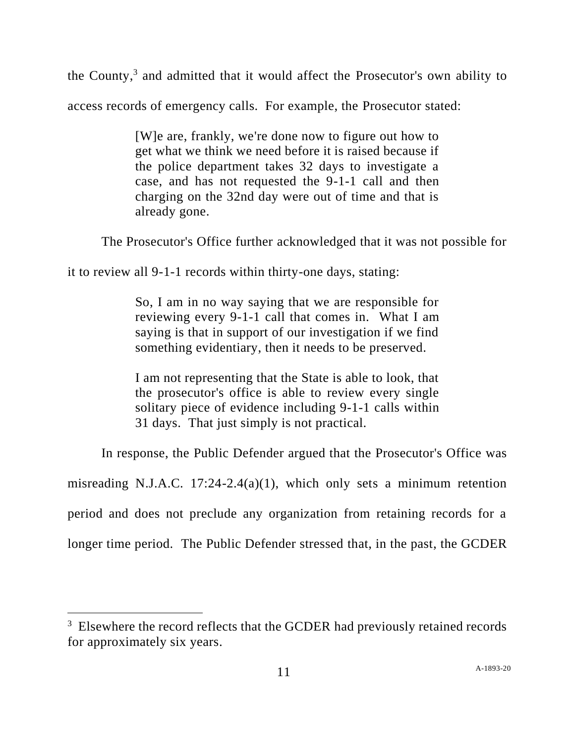the County, 3 and admitted that it would affect the Prosecutor's own ability to access records of emergency calls. For example, the Prosecutor stated:

> [W]e are, frankly, we're done now to figure out how to get what we think we need before it is raised because if the police department takes 32 days to investigate a case, and has not requested the 9-1-1 call and then charging on the 32nd day were out of time and that is already gone.

The Prosecutor's Office further acknowledged that it was not possible for

it to review all 9-1-1 records within thirty-one days, stating:

So, I am in no way saying that we are responsible for reviewing every 9-1-1 call that comes in. What I am saying is that in support of our investigation if we find something evidentiary, then it needs to be preserved.

I am not representing that the State is able to look, that the prosecutor's office is able to review every single solitary piece of evidence including 9-1-1 calls within 31 days. That just simply is not practical.

In response, the Public Defender argued that the Prosecutor's Office was

misreading N.J.A.C. 17:24-2.4(a)(1), which only sets a minimum retention

period and does not preclude any organization from retaining records for a

longer time period. The Public Defender stressed that, in the past, the GCDER

 $3$  Elsewhere the record reflects that the GCDER had previously retained records for approximately six years.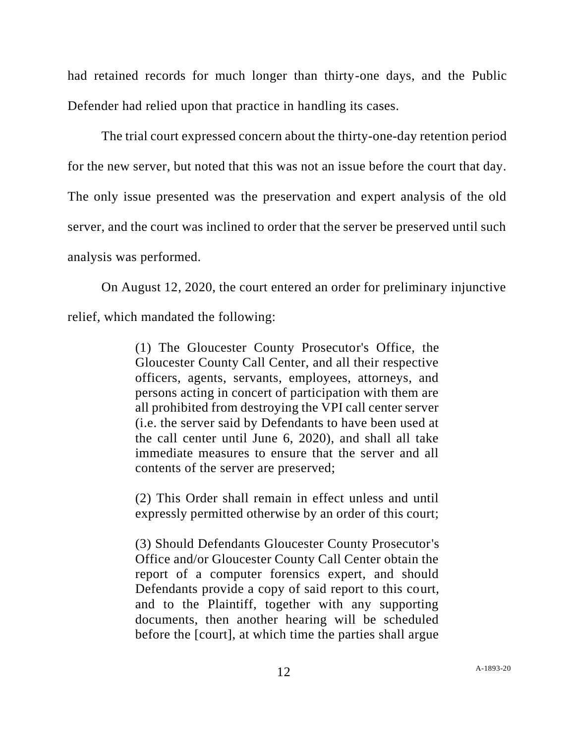had retained records for much longer than thirty-one days, and the Public Defender had relied upon that practice in handling its cases.

The trial court expressed concern about the thirty-one-day retention period for the new server, but noted that this was not an issue before the court that day. The only issue presented was the preservation and expert analysis of the old server, and the court was inclined to order that the server be preserved until such analysis was performed.

On August 12, 2020, the court entered an order for preliminary injunctive relief, which mandated the following:

> (1) The Gloucester County Prosecutor's Office, the Gloucester County Call Center, and all their respective officers, agents, servants, employees, attorneys, and persons acting in concert of participation with them are all prohibited from destroying the VPI call center server (i.e. the server said by Defendants to have been used at the call center until June 6, 2020), and shall all take immediate measures to ensure that the server and all contents of the server are preserved;

> (2) This Order shall remain in effect unless and until expressly permitted otherwise by an order of this court;

> (3) Should Defendants Gloucester County Prosecutor's Office and/or Gloucester County Call Center obtain the report of a computer forensics expert, and should Defendants provide a copy of said report to this court, and to the Plaintiff, together with any supporting documents, then another hearing will be scheduled before the [court], at which time the parties shall argue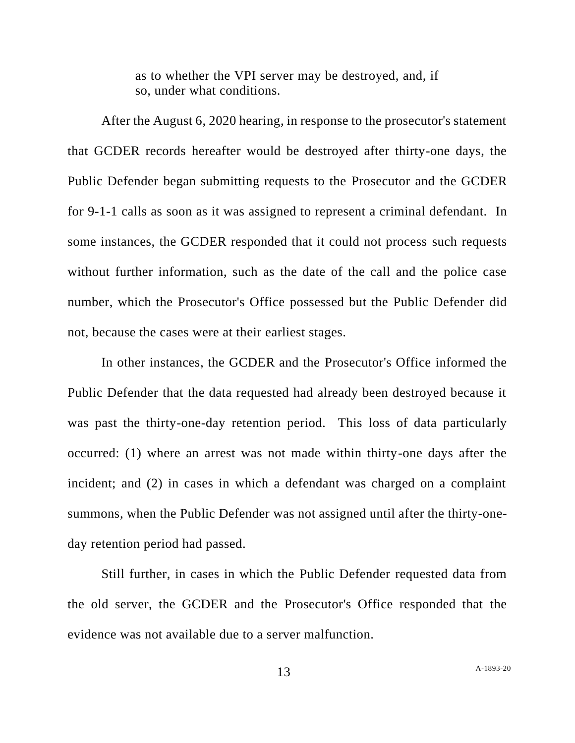as to whether the VPI server may be destroyed, and, if so, under what conditions.

After the August 6, 2020 hearing, in response to the prosecutor's statement that GCDER records hereafter would be destroyed after thirty-one days, the Public Defender began submitting requests to the Prosecutor and the GCDER for 9-1-1 calls as soon as it was assigned to represent a criminal defendant. In some instances, the GCDER responded that it could not process such requests without further information, such as the date of the call and the police case number, which the Prosecutor's Office possessed but the Public Defender did not, because the cases were at their earliest stages.

In other instances, the GCDER and the Prosecutor's Office informed the Public Defender that the data requested had already been destroyed because it was past the thirty-one-day retention period. This loss of data particularly occurred: (1) where an arrest was not made within thirty-one days after the incident; and (2) in cases in which a defendant was charged on a complaint summons, when the Public Defender was not assigned until after the thirty-oneday retention period had passed.

Still further, in cases in which the Public Defender requested data from the old server, the GCDER and the Prosecutor's Office responded that the evidence was not available due to a server malfunction.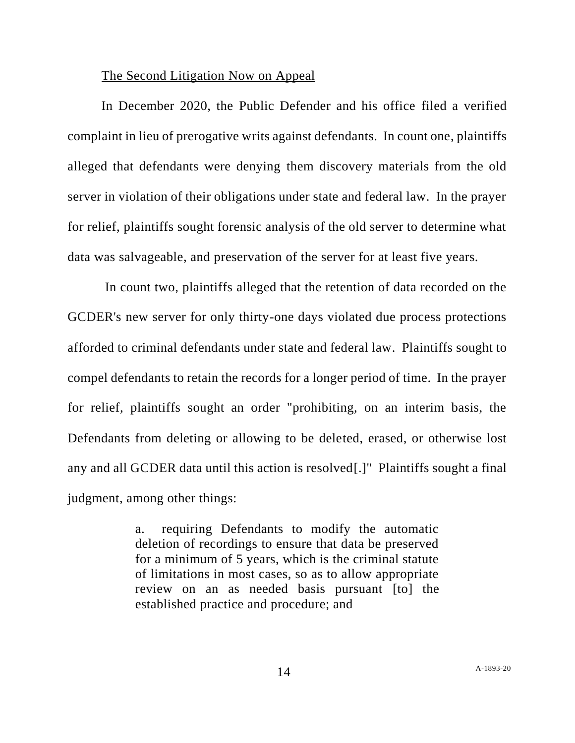### The Second Litigation Now on Appeal

In December 2020, the Public Defender and his office filed a verified complaint in lieu of prerogative writs against defendants. In count one, plaintiffs alleged that defendants were denying them discovery materials from the old server in violation of their obligations under state and federal law. In the prayer for relief, plaintiffs sought forensic analysis of the old server to determine what data was salvageable, and preservation of the server for at least five years.

In count two, plaintiffs alleged that the retention of data recorded on the GCDER's new server for only thirty-one days violated due process protections afforded to criminal defendants under state and federal law. Plaintiffs sought to compel defendants to retain the records for a longer period of time. In the prayer for relief, plaintiffs sought an order "prohibiting, on an interim basis, the Defendants from deleting or allowing to be deleted, erased, or otherwise lost any and all GCDER data until this action is resolved[.]" Plaintiffs sought a final judgment, among other things:

> a. requiring Defendants to modify the automatic deletion of recordings to ensure that data be preserved for a minimum of 5 years, which is the criminal statute of limitations in most cases, so as to allow appropriate review on an as needed basis pursuant [to] the established practice and procedure; and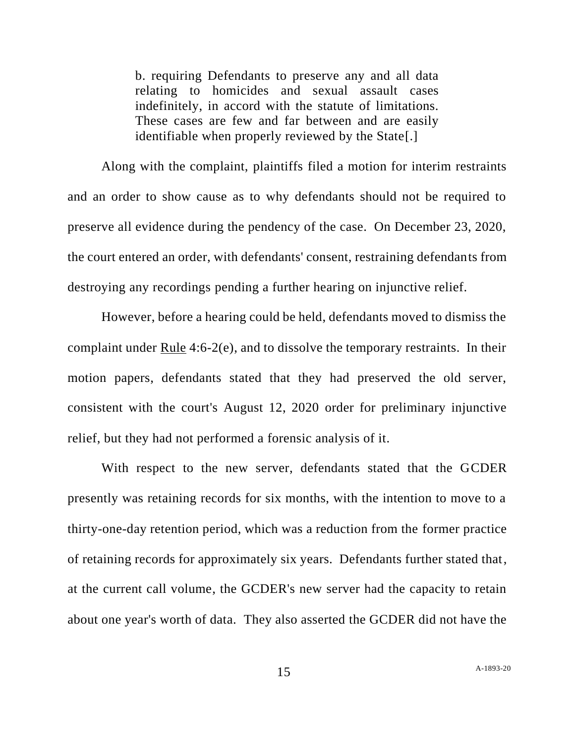b. requiring Defendants to preserve any and all data relating to homicides and sexual assault cases indefinitely, in accord with the statute of limitations. These cases are few and far between and are easily identifiable when properly reviewed by the State[.]

Along with the complaint, plaintiffs filed a motion for interim restraints and an order to show cause as to why defendants should not be required to preserve all evidence during the pendency of the case. On December 23, 2020, the court entered an order, with defendants' consent, restraining defendants from destroying any recordings pending a further hearing on injunctive relief.

However, before a hearing could be held, defendants moved to dismiss the complaint under Rule 4:6-2(e), and to dissolve the temporary restraints. In their motion papers, defendants stated that they had preserved the old server, consistent with the court's August 12, 2020 order for preliminary injunctive relief, but they had not performed a forensic analysis of it.

With respect to the new server, defendants stated that the GCDER presently was retaining records for six months, with the intention to move to a thirty-one-day retention period, which was a reduction from the former practice of retaining records for approximately six years. Defendants further stated that, at the current call volume, the GCDER's new server had the capacity to retain about one year's worth of data. They also asserted the GCDER did not have the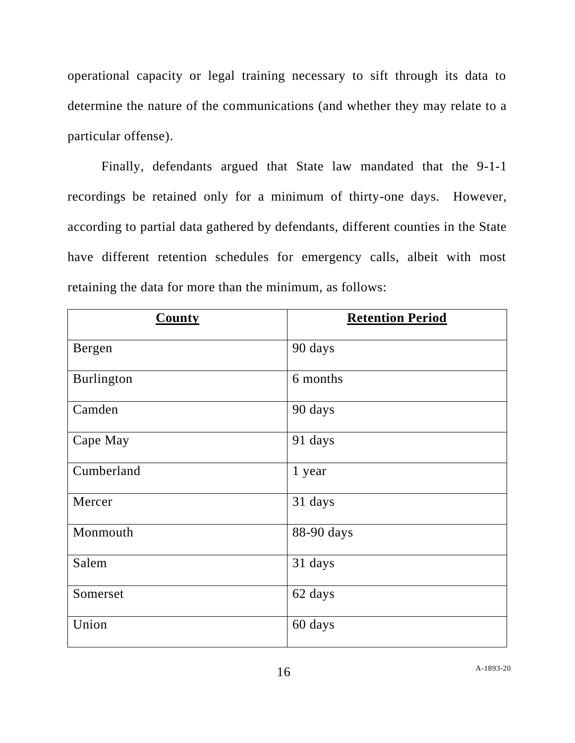operational capacity or legal training necessary to sift through its data to determine the nature of the communications (and whether they may relate to a particular offense).

Finally, defendants argued that State law mandated that the 9-1-1 recordings be retained only for a minimum of thirty-one days. However, according to partial data gathered by defendants, different counties in the State have different retention schedules for emergency calls, albeit with most retaining the data for more than the minimum, as follows:

| <b>County</b> | <b>Retention Period</b> |
|---------------|-------------------------|
| Bergen        | 90 days                 |
| Burlington    | 6 months                |
| Camden        | 90 days                 |
| Cape May      | 91 days                 |
| Cumberland    | 1 year                  |
| Mercer        | 31 days                 |
| Monmouth      | 88-90 days              |
| Salem         | 31 days                 |
| Somerset      | 62 days                 |
| Union         | 60 days                 |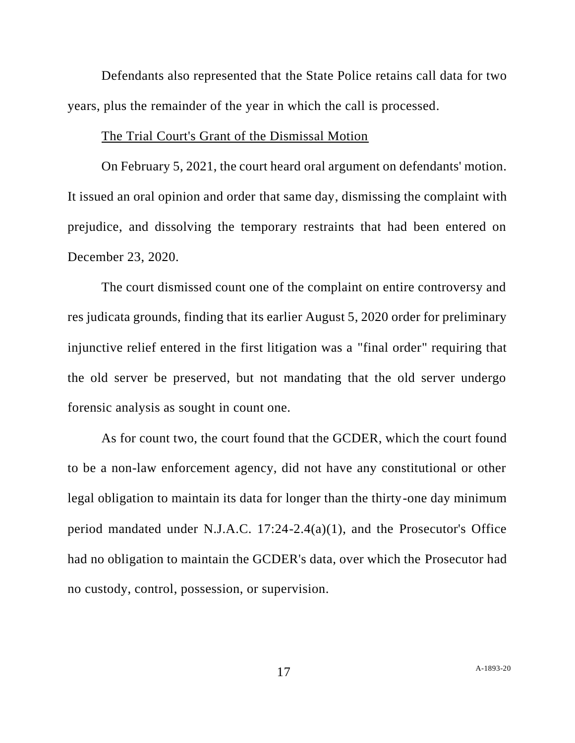Defendants also represented that the State Police retains call data for two years, plus the remainder of the year in which the call is processed.

### The Trial Court's Grant of the Dismissal Motion

On February 5, 2021, the court heard oral argument on defendants' motion. It issued an oral opinion and order that same day, dismissing the complaint with prejudice, and dissolving the temporary restraints that had been entered on December 23, 2020.

The court dismissed count one of the complaint on entire controversy and res judicata grounds, finding that its earlier August 5, 2020 order for preliminary injunctive relief entered in the first litigation was a "final order" requiring that the old server be preserved, but not mandating that the old server undergo forensic analysis as sought in count one.

As for count two, the court found that the GCDER, which the court found to be a non-law enforcement agency, did not have any constitutional or other legal obligation to maintain its data for longer than the thirty-one day minimum period mandated under N.J.A.C. 17:24-2.4(a)(1), and the Prosecutor's Office had no obligation to maintain the GCDER's data, over which the Prosecutor had no custody, control, possession, or supervision.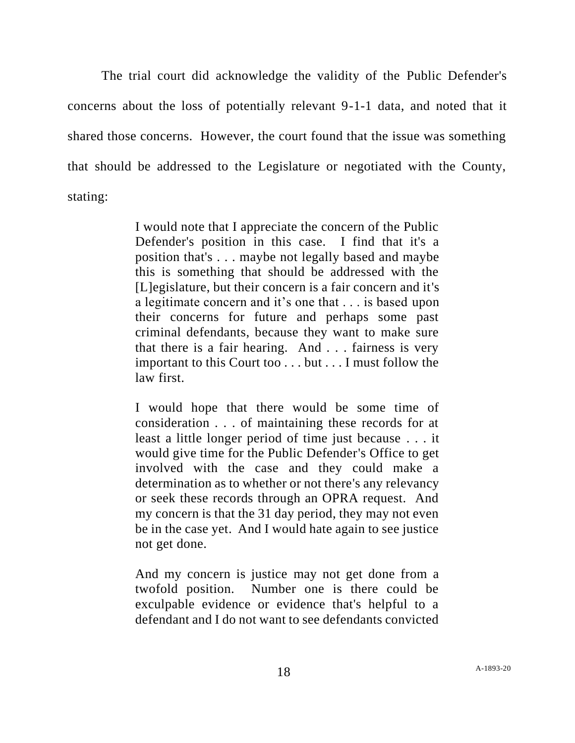The trial court did acknowledge the validity of the Public Defender's concerns about the loss of potentially relevant 9-1-1 data, and noted that it shared those concerns. However, the court found that the issue was something that should be addressed to the Legislature or negotiated with the County, stating:

> I would note that I appreciate the concern of the Public Defender's position in this case. I find that it's a position that's . . . maybe not legally based and maybe this is something that should be addressed with the [L]egislature, but their concern is a fair concern and it's a legitimate concern and it's one that . . . is based upon their concerns for future and perhaps some past criminal defendants, because they want to make sure that there is a fair hearing. And . . . fairness is very important to this Court too . . . but . . . I must follow the law first.

> I would hope that there would be some time of consideration . . . of maintaining these records for at least a little longer period of time just because . . . it would give time for the Public Defender's Office to get involved with the case and they could make a determination as to whether or not there's any relevancy or seek these records through an OPRA request. And my concern is that the 31 day period, they may not even be in the case yet. And I would hate again to see justice not get done.

> And my concern is justice may not get done from a twofold position. Number one is there could be exculpable evidence or evidence that's helpful to a defendant and I do not want to see defendants convicted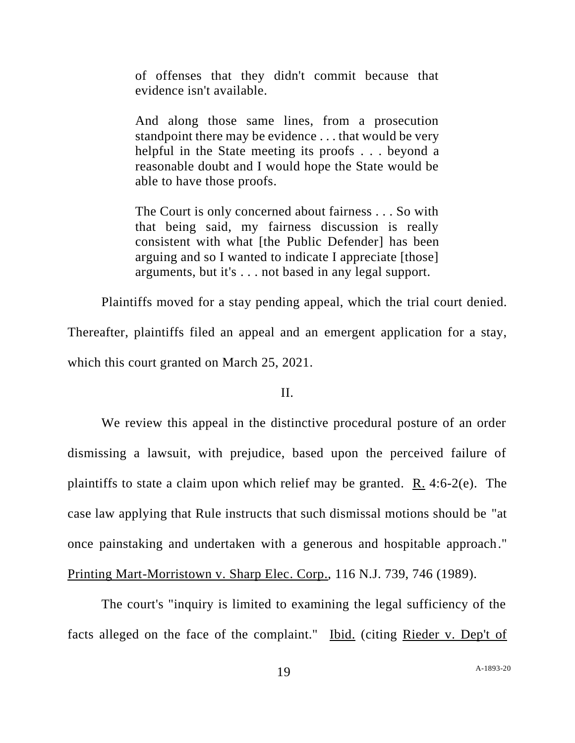of offenses that they didn't commit because that evidence isn't available.

And along those same lines, from a prosecution standpoint there may be evidence . . . that would be very helpful in the State meeting its proofs . . . beyond a reasonable doubt and I would hope the State would be able to have those proofs.

The Court is only concerned about fairness . . . So with that being said, my fairness discussion is really consistent with what [the Public Defender] has been arguing and so I wanted to indicate I appreciate [those] arguments, but it's . . . not based in any legal support.

Plaintiffs moved for a stay pending appeal, which the trial court denied.

Thereafter, plaintiffs filed an appeal and an emergent application for a stay, which this court granted on March 25, 2021.

#### II.

We review this appeal in the distinctive procedural posture of an order dismissing a lawsuit, with prejudice, based upon the perceived failure of plaintiffs to state a claim upon which relief may be granted. R. 4:6-2(e). The case law applying that Rule instructs that such dismissal motions should be "at once painstaking and undertaken with a generous and hospitable approach." Printing Mart-Morristown v. Sharp Elec. Corp., 116 N.J. 739, 746 (1989).

The court's "inquiry is limited to examining the legal sufficiency of the facts alleged on the face of the complaint." Ibid. (citing Rieder v. Dep't of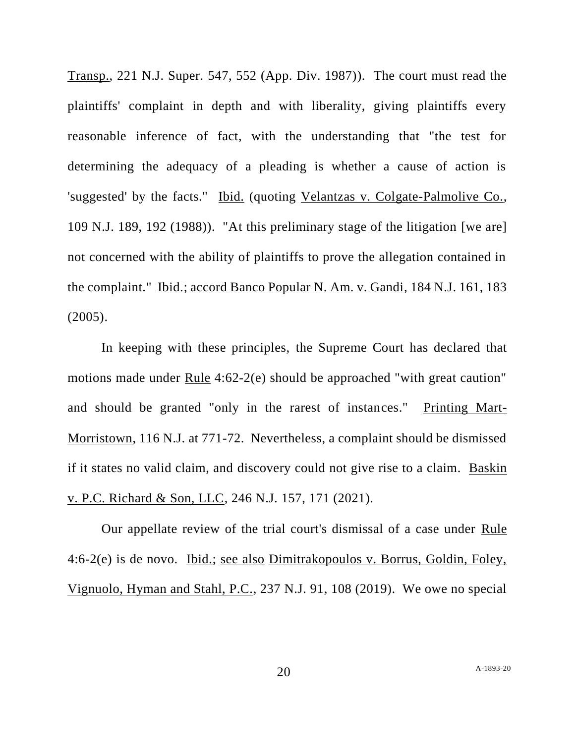Transp., 221 N.J. Super. 547, 552 (App. Div. 1987)). The court must read the plaintiffs' complaint in depth and with liberality, giving plaintiffs every reasonable inference of fact, with the understanding that "the test for determining the adequacy of a pleading is whether a cause of action is 'suggested' by the facts." Ibid. (quoting Velantzas v. Colgate-Palmolive Co., 109 N.J. 189, 192 (1988)). "At this preliminary stage of the litigation [we are] not concerned with the ability of plaintiffs to prove the allegation contained in the complaint." Ibid.; accord Banco Popular N. Am. v. Gandi, 184 N.J. 161, 183 (2005).

In keeping with these principles, the Supreme Court has declared that motions made under Rule 4:62-2(e) should be approached "with great caution" and should be granted "only in the rarest of instances." Printing Mart-Morristown, 116 N.J. at 771-72. Nevertheless, a complaint should be dismissed if it states no valid claim, and discovery could not give rise to a claim. Baskin v. P.C. Richard & Son, LLC, 246 N.J. 157, 171 (2021).

Our appellate review of the trial court's dismissal of a case under Rule 4:6-2(e) is de novo. Ibid.; see also Dimitrakopoulos v. Borrus, Goldin, Foley, Vignuolo, Hyman and Stahl, P.C., 237 N.J. 91, 108 (2019). We owe no special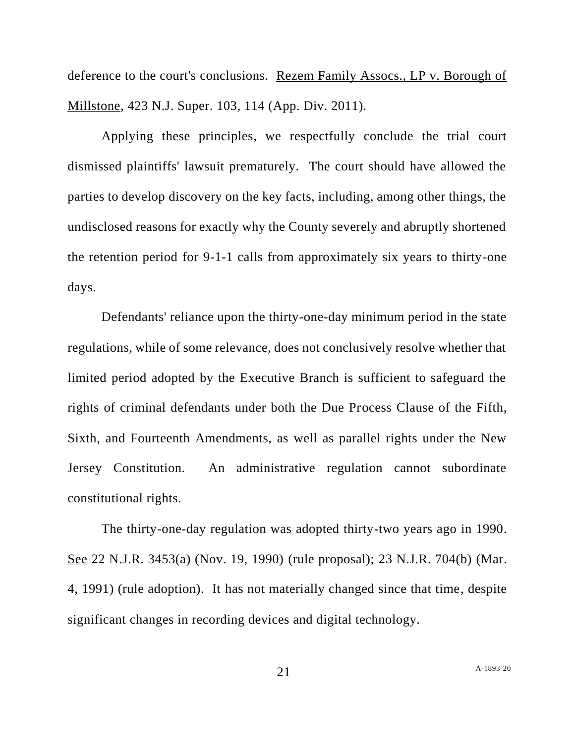deference to the court's conclusions. Rezem Family Assocs., LP v. Borough of Millstone, 423 N.J. Super. 103, 114 (App. Div. 2011).

Applying these principles, we respectfully conclude the trial court dismissed plaintiffs' lawsuit prematurely. The court should have allowed the parties to develop discovery on the key facts, including, among other things, the undisclosed reasons for exactly why the County severely and abruptly shortened the retention period for 9-1-1 calls from approximately six years to thirty-one days.

Defendants' reliance upon the thirty-one-day minimum period in the state regulations, while of some relevance, does not conclusively resolve whether that limited period adopted by the Executive Branch is sufficient to safeguard the rights of criminal defendants under both the Due Process Clause of the Fifth, Sixth, and Fourteenth Amendments, as well as parallel rights under the New Jersey Constitution. An administrative regulation cannot subordinate constitutional rights.

The thirty-one-day regulation was adopted thirty-two years ago in 1990. See 22 N.J.R. 3453(a) (Nov. 19, 1990) (rule proposal); 23 N.J.R. 704(b) (Mar. 4, 1991) (rule adoption). It has not materially changed since that time, despite significant changes in recording devices and digital technology.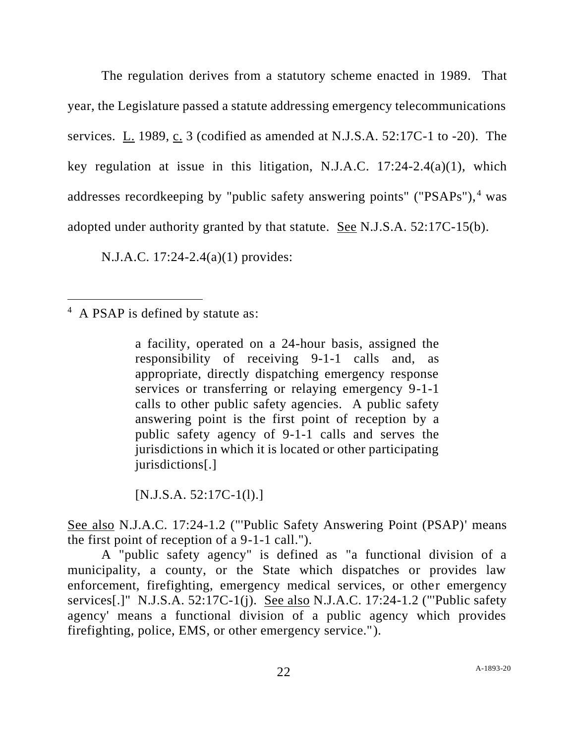The regulation derives from a statutory scheme enacted in 1989. That year, the Legislature passed a statute addressing emergency telecommunications services. L. 1989, c. 3 (codified as amended at N.J.S.A. 52:17C-1 to -20). The key regulation at issue in this litigation, N.J.A.C.  $17:24-2.4(a)(1)$ , which addresses recordkeeping by "public safety answering points" ("PSAPs"), <sup>4</sup> was adopted under authority granted by that statute. See N.J.S.A. 52:17C-15(b).

N.J.A.C. 17:24-2.4(a)(1) provides:

<sup>4</sup> A PSAP is defined by statute as:

a facility, operated on a 24-hour basis, assigned the responsibility of receiving 9-1-1 calls and, as appropriate, directly dispatching emergency response services or transferring or relaying emergency 9-1-1 calls to other public safety agencies. A public safety answering point is the first point of reception by a public safety agency of 9-1-1 calls and serves the jurisdictions in which it is located or other participating jurisdictions[.]

 $[N.J.S.A. 52:17C-1(1).]$ 

See also N.J.A.C. 17:24-1.2 ("'Public Safety Answering Point (PSAP)' means the first point of reception of a 9-1-1 call.").

A "public safety agency" is defined as "a functional division of a municipality, a county, or the State which dispatches or provides law enforcement, firefighting, emergency medical services, or other emergency services[.]" N.J.S.A. 52:17C-1(j). See also N.J.A.C. 17:24-1.2 ("'Public safety agency' means a functional division of a public agency which provides firefighting, police, EMS, or other emergency service.").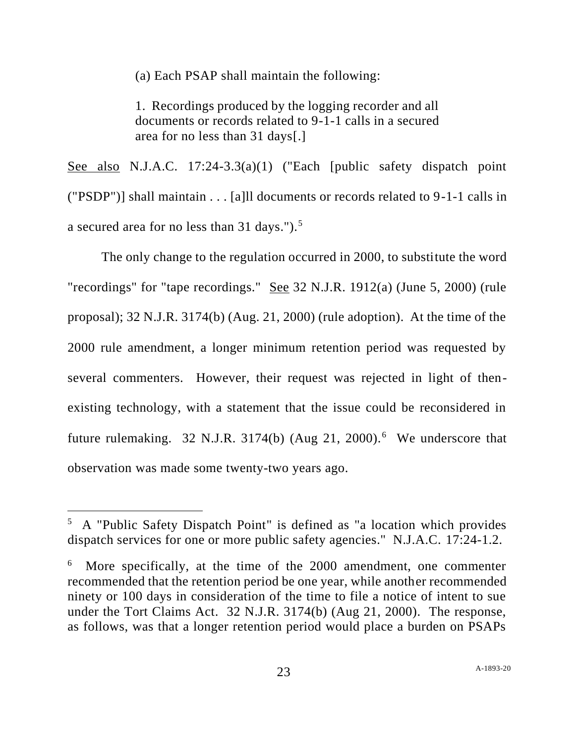(a) Each PSAP shall maintain the following:

1. Recordings produced by the logging recorder and all documents or records related to 9-1-1 calls in a secured area for no less than 31 days[.]

See also N.J.A.C. 17:24-3.3(a)(1) ("Each [public safety dispatch point ("PSDP")] shall maintain . . . [a]ll documents or records related to 9-1-1 calls in a secured area for no less than 31 days.").<sup>5</sup>

The only change to the regulation occurred in 2000, to substitute the word "recordings" for "tape recordings." See 32 N.J.R. 1912(a) (June 5, 2000) (rule proposal); 32 N.J.R. 3174(b) (Aug. 21, 2000) (rule adoption). At the time of the 2000 rule amendment, a longer minimum retention period was requested by several commenters. However, their request was rejected in light of thenexisting technology, with a statement that the issue could be reconsidered in future rulemaking. 32 N.J.R. 3174(b) (Aug 21, 2000).<sup>6</sup> We underscore that observation was made some twenty-two years ago.

<sup>5</sup> A "Public Safety Dispatch Point" is defined as "a location which provides dispatch services for one or more public safety agencies." N.J.A.C. 17:24-1.2.

<sup>6</sup> More specifically, at the time of the 2000 amendment, one commenter recommended that the retention period be one year, while another recommended ninety or 100 days in consideration of the time to file a notice of intent to sue under the Tort Claims Act. 32 N.J.R. 3174(b) (Aug 21, 2000). The response, as follows, was that a longer retention period would place a burden on PSAPs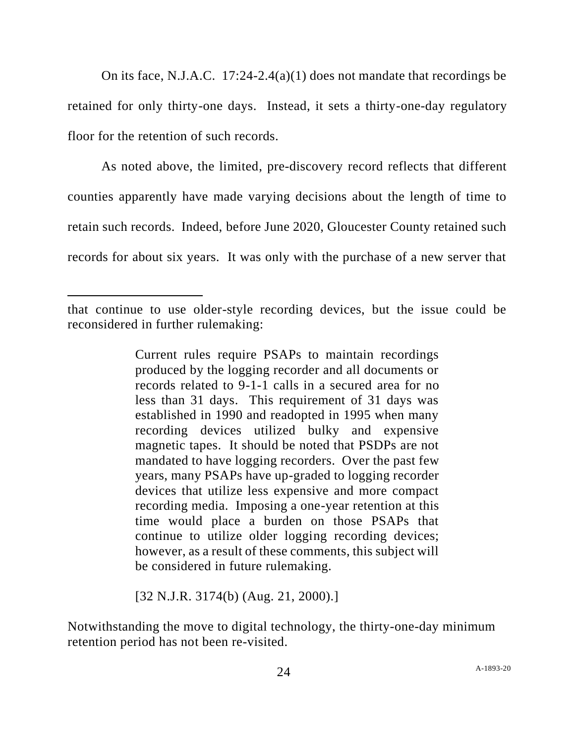On its face, N.J.A.C. 17:24-2.4(a)(1) does not mandate that recordings be retained for only thirty-one days. Instead, it sets a thirty-one-day regulatory floor for the retention of such records.

As noted above, the limited, pre-discovery record reflects that different counties apparently have made varying decisions about the length of time to retain such records. Indeed, before June 2020, Gloucester County retained such records for about six years. It was only with the purchase of a new server that

Current rules require PSAPs to maintain recordings produced by the logging recorder and all documents or records related to 9-1-1 calls in a secured area for no less than 31 days. This requirement of 31 days was established in 1990 and readopted in 1995 when many recording devices utilized bulky and expensive magnetic tapes. It should be noted that PSDPs are not mandated to have logging recorders. Over the past few years, many PSAPs have up-graded to logging recorder devices that utilize less expensive and more compact recording media. Imposing a one-year retention at this time would place a burden on those PSAPs that continue to utilize older logging recording devices; however, as a result of these comments, this subject will be considered in future rulemaking.

[32 N.J.R. 3174(b) (Aug. 21, 2000).]

Notwithstanding the move to digital technology, the thirty-one-day minimum retention period has not been re-visited.

that continue to use older-style recording devices, but the issue could be reconsidered in further rulemaking: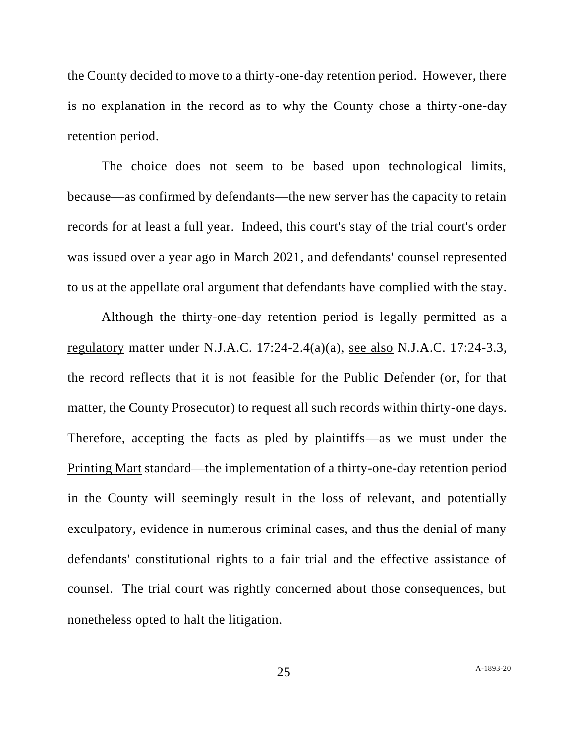the County decided to move to a thirty-one-day retention period. However, there is no explanation in the record as to why the County chose a thirty-one-day retention period.

The choice does not seem to be based upon technological limits, because—as confirmed by defendants—the new server has the capacity to retain records for at least a full year. Indeed, this court's stay of the trial court's order was issued over a year ago in March 2021, and defendants' counsel represented to us at the appellate oral argument that defendants have complied with the stay.

Although the thirty-one-day retention period is legally permitted as a regulatory matter under N.J.A.C.  $17:24-2.4(a)(a)$ , see also N.J.A.C.  $17:24-3.3$ , the record reflects that it is not feasible for the Public Defender (or, for that matter, the County Prosecutor) to request all such records within thirty-one days. Therefore, accepting the facts as pled by plaintiffs—as we must under the Printing Mart standard—the implementation of a thirty-one-day retention period in the County will seemingly result in the loss of relevant, and potentially exculpatory, evidence in numerous criminal cases, and thus the denial of many defendants' constitutional rights to a fair trial and the effective assistance of counsel. The trial court was rightly concerned about those consequences, but nonetheless opted to halt the litigation.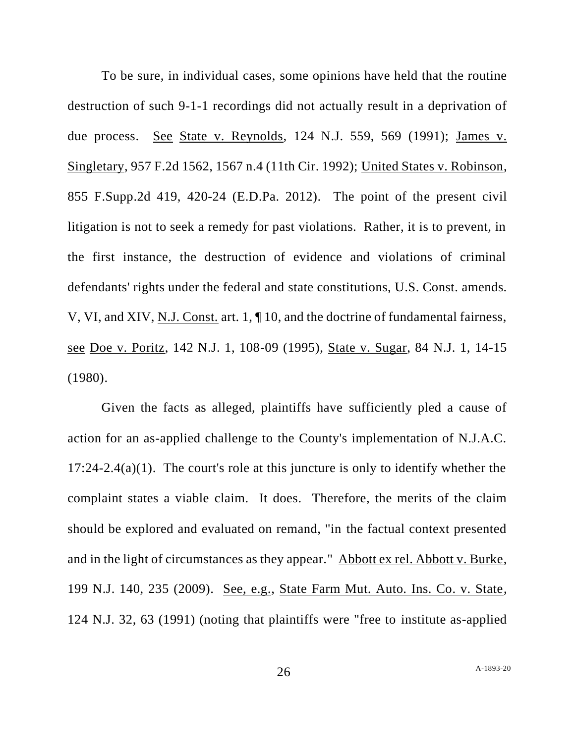To be sure, in individual cases, some opinions have held that the routine destruction of such 9-1-1 recordings did not actually result in a deprivation of due process. See State v. Reynolds, 124 N.J. 559, 569 (1991); James v. Singletary, 957 F.2d 1562, 1567 n.4 (11th Cir. 1992); United States v. Robinson, 855 F.Supp.2d 419, 420-24 (E.D.Pa. 2012). The point of the present civil litigation is not to seek a remedy for past violations. Rather, it is to prevent, in the first instance, the destruction of evidence and violations of criminal defendants' rights under the federal and state constitutions, U.S. Const. amends. V, VI, and XIV, N.J. Const. art. 1, ¶ 10, and the doctrine of fundamental fairness, see Doe v. Poritz, 142 N.J. 1, 108-09 (1995), State v. Sugar, 84 N.J. 1, 14-15 (1980).

Given the facts as alleged, plaintiffs have sufficiently pled a cause of action for an as-applied challenge to the County's implementation of N.J.A.C.  $17:24-2.4(a)(1)$ . The court's role at this juncture is only to identify whether the complaint states a viable claim. It does. Therefore, the merits of the claim should be explored and evaluated on remand, "in the factual context presented and in the light of circumstances as they appear." Abbott ex rel. Abbott v. Burke, 199 N.J. 140, 235 (2009). See, e.g., State Farm Mut. Auto. Ins. Co. v. State, 124 N.J. 32, 63 (1991) (noting that plaintiffs were "free to institute as-applied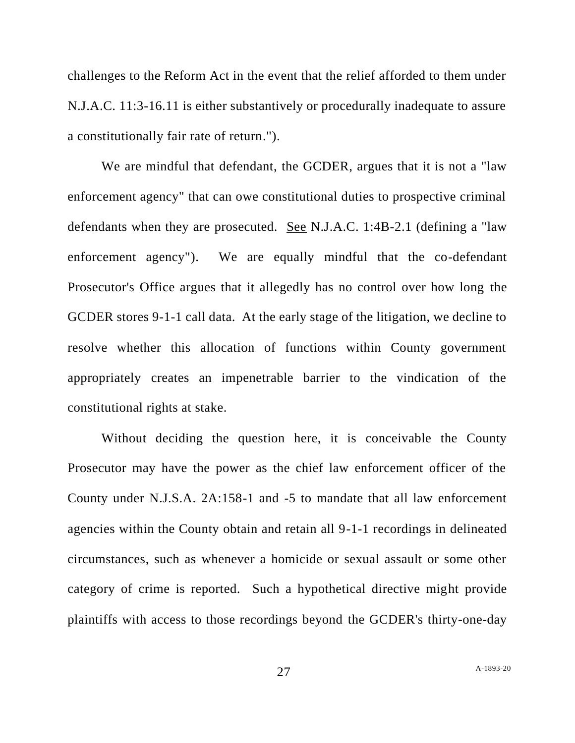challenges to the Reform Act in the event that the relief afforded to them under N.J.A.C. 11:3-16.11 is either substantively or procedurally inadequate to assure a constitutionally fair rate of return.").

We are mindful that defendant, the GCDER, argues that it is not a "law enforcement agency" that can owe constitutional duties to prospective criminal defendants when they are prosecuted. See N.J.A.C. 1:4B-2.1 (defining a "law enforcement agency"). We are equally mindful that the co-defendant Prosecutor's Office argues that it allegedly has no control over how long the GCDER stores 9-1-1 call data. At the early stage of the litigation, we decline to resolve whether this allocation of functions within County government appropriately creates an impenetrable barrier to the vindication of the constitutional rights at stake.

Without deciding the question here, it is conceivable the County Prosecutor may have the power as the chief law enforcement officer of the County under N.J.S.A. 2A:158-1 and -5 to mandate that all law enforcement agencies within the County obtain and retain all 9-1-1 recordings in delineated circumstances, such as whenever a homicide or sexual assault or some other category of crime is reported. Such a hypothetical directive might provide plaintiffs with access to those recordings beyond the GCDER's thirty-one-day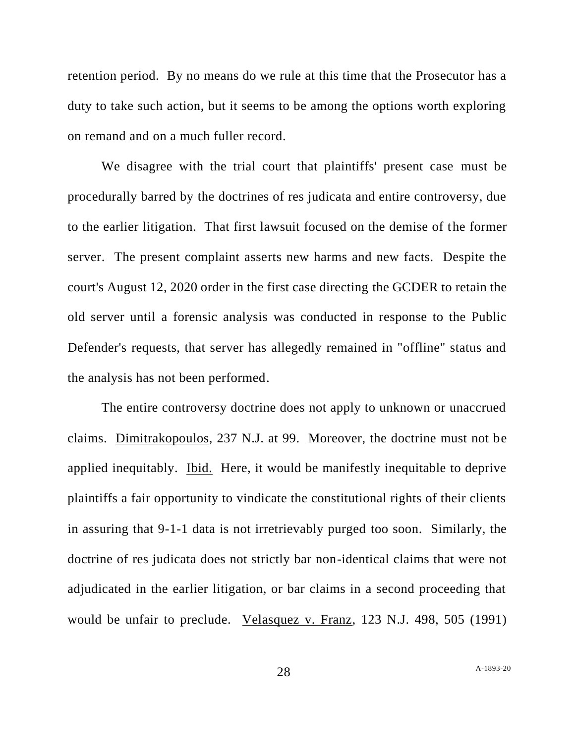retention period. By no means do we rule at this time that the Prosecutor has a duty to take such action, but it seems to be among the options worth exploring on remand and on a much fuller record.

We disagree with the trial court that plaintiffs' present case must be procedurally barred by the doctrines of res judicata and entire controversy, due to the earlier litigation. That first lawsuit focused on the demise of the former server. The present complaint asserts new harms and new facts. Despite the court's August 12, 2020 order in the first case directing the GCDER to retain the old server until a forensic analysis was conducted in response to the Public Defender's requests, that server has allegedly remained in "offline" status and the analysis has not been performed.

The entire controversy doctrine does not apply to unknown or unaccrued claims. Dimitrakopoulos, 237 N.J. at 99. Moreover, the doctrine must not be applied inequitably. Ibid. Here, it would be manifestly inequitable to deprive plaintiffs a fair opportunity to vindicate the constitutional rights of their clients in assuring that 9-1-1 data is not irretrievably purged too soon. Similarly, the doctrine of res judicata does not strictly bar non-identical claims that were not adjudicated in the earlier litigation, or bar claims in a second proceeding that would be unfair to preclude. Velasquez v. Franz, 123 N.J. 498, 505 (1991)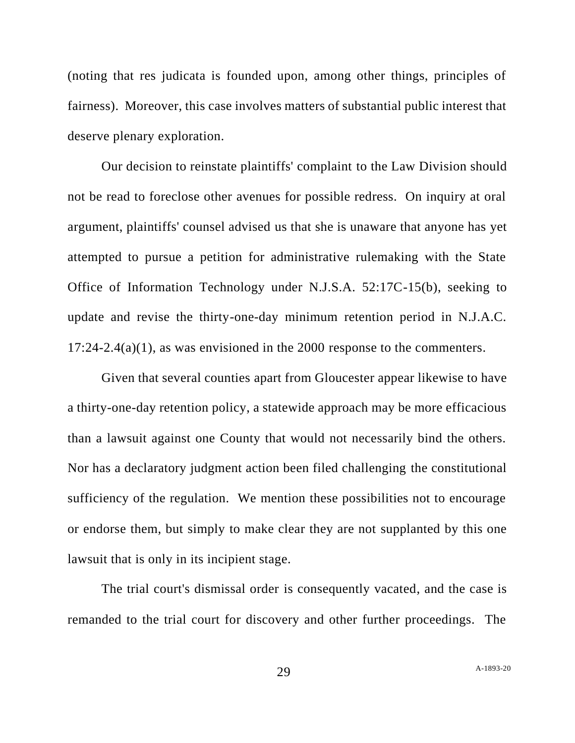(noting that res judicata is founded upon, among other things, principles of fairness). Moreover, this case involves matters of substantial public interest that deserve plenary exploration.

Our decision to reinstate plaintiffs' complaint to the Law Division should not be read to foreclose other avenues for possible redress. On inquiry at oral argument, plaintiffs' counsel advised us that she is unaware that anyone has yet attempted to pursue a petition for administrative rulemaking with the State Office of Information Technology under N.J.S.A. 52:17C-15(b), seeking to update and revise the thirty-one-day minimum retention period in N.J.A.C.  $17:24-2.4(a)(1)$ , as was envisioned in the 2000 response to the commenters.

Given that several counties apart from Gloucester appear likewise to have a thirty-one-day retention policy, a statewide approach may be more efficacious than a lawsuit against one County that would not necessarily bind the others. Nor has a declaratory judgment action been filed challenging the constitutional sufficiency of the regulation. We mention these possibilities not to encourage or endorse them, but simply to make clear they are not supplanted by this one lawsuit that is only in its incipient stage.

The trial court's dismissal order is consequently vacated, and the case is remanded to the trial court for discovery and other further proceedings. The